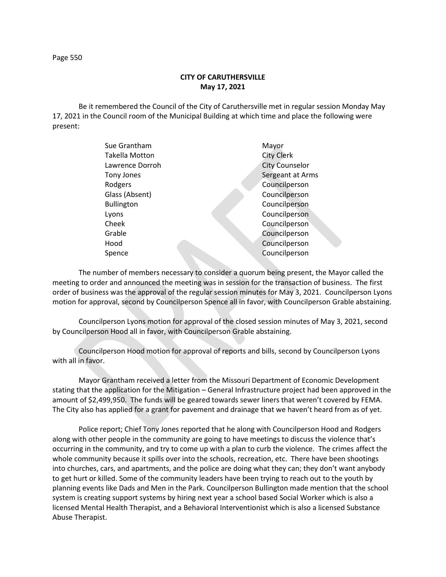**CITY OF CARUTHERSVILLE May 17, 2021**

Be it remembered the Council of the City of Caruthersville met in regular session Monday May 17, 2021 in the Council room of the Municipal Building at which time and place the following were present:

| Sue Grantham      | Mayor                 |
|-------------------|-----------------------|
| Takella Motton    | <b>City Clerk</b>     |
| Lawrence Dorroh   | <b>City Counselor</b> |
| Tony Jones        | Sergeant at Arms      |
| Rodgers           | Councilperson         |
| Glass (Absent)    | Councilperson         |
| <b>Bullington</b> | Councilperson         |
| Lyons             | Councilperson         |
| Cheek             | Councilperson         |
| Grable            | Councilperson         |
| Hood              | Councilperson         |
| Spence            | Councilperson         |
|                   |                       |

The number of members necessary to consider a quorum being present, the Mayor called the meeting to order and announced the meeting was in session for the transaction of business. The first order of business was the approval of the regular session minutes for May 3, 2021. Councilperson Lyons motion for approval, second by Councilperson Spence all in favor, with Councilperson Grable abstaining.

Councilperson Lyons motion for approval of the closed session minutes of May 3, 2021, second by Councilperson Hood all in favor, with Councilperson Grable abstaining.

Councilperson Hood motion for approval of reports and bills, second by Councilperson Lyons with all in favor.

Mayor Grantham received a letter from the Missouri Department of Economic Development stating that the application for the Mitigation – General Infrastructure project had been approved in the amount of \$2,499,950. The funds will be geared towards sewer liners that weren't covered by FEMA. The City also has applied for a grant for pavement and drainage that we haven't heard from as of yet.

Police report; Chief Tony Jones reported that he along with Councilperson Hood and Rodgers along with other people in the community are going to have meetings to discuss the violence that's occurring in the community, and try to come up with a plan to curb the violence. The crimes affect the whole community because it spills over into the schools, recreation, etc. There have been shootings into churches, cars, and apartments, and the police are doing what they can; they don't want anybody to get hurt or killed. Some of the community leaders have been trying to reach out to the youth by planning events like Dads and Men in the Park. Councilperson Bullington made mention that the school system is creating support systems by hiring next year a school based Social Worker which is also a licensed Mental Health Therapist, and a Behavioral Interventionist which is also a licensed Substance Abuse Therapist.

Page 550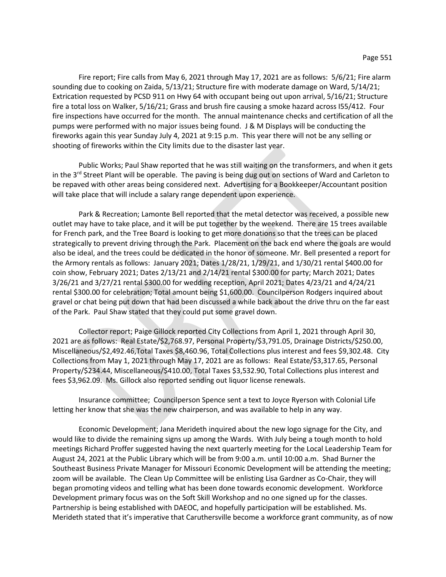Fire report; Fire calls from May 6, 2021 through May 17, 2021 are as follows: 5/6/21; Fire alarm sounding due to cooking on Zaida, 5/13/21; Structure fire with moderate damage on Ward, 5/14/21; Extrication requested by PCSD 911 on Hwy 64 with occupant being out upon arrival, 5/16/21; Structure fire a total loss on Walker, 5/16/21; Grass and brush fire causing a smoke hazard across I55/412. Four fire inspections have occurred for the month. The annual maintenance checks and certification of all the pumps were performed with no major issues being found. J & M Displays will be conducting the fireworks again this year Sunday July 4, 2021 at 9:15 p.m. This year there will not be any selling or shooting of fireworks within the City limits due to the disaster last year.

Public Works; Paul Shaw reported that he was still waiting on the transformers, and when it gets in the  $3<sup>rd</sup>$  Street Plant will be operable. The paving is being dug out on sections of Ward and Carleton to be repaved with other areas being considered next. Advertising for a Bookkeeper/Accountant position will take place that will include a salary range dependent upon experience.

Park & Recreation; Lamonte Bell reported that the metal detector was received, a possible new outlet may have to take place, and it will be put together by the weekend. There are 15 trees available for French park, and the Tree Board is looking to get more donations so that the trees can be placed strategically to prevent driving through the Park. Placement on the back end where the goals are would also be ideal, and the trees could be dedicated in the honor of someone. Mr. Bell presented a report for the Armory rentals as follows: January 2021; Dates 1/28/21, 1/29/21, and 1/30/21 rental \$400.00 for coin show, February 2021; Dates 2/13/21 and 2/14/21 rental \$300.00 for party; March 2021; Dates 3/26/21 and 3/27/21 rental \$300.00 for wedding reception, April 2021; Dates 4/23/21 and 4/24/21 rental \$300.00 for celebration; Total amount being \$1,600.00. Councilperson Rodgers inquired about gravel or chat being put down that had been discussed a while back about the drive thru on the far east of the Park. Paul Shaw stated that they could put some gravel down.

Collector report; Paige Gillock reported City Collections from April 1, 2021 through April 30, 2021 are as follows: Real Estate/\$2,768.97, Personal Property/\$3,791.05, Drainage Districts/\$250.00, Miscellaneous/\$2,492.46,Total Taxes \$8,460.96, Total Collections plus interest and fees \$9,302.48. City Collections from May 1, 2021 through May 17, 2021 are as follows: Real Estate/\$3,317.65, Personal Property/\$234.44, Miscellaneous/\$410.00, Total Taxes \$3,532.90, Total Collections plus interest and fees \$3,962.09. Ms. Gillock also reported sending out liquor license renewals.

Insurance committee; Councilperson Spence sent a text to Joyce Ryerson with Colonial Life letting her know that she was the new chairperson, and was available to help in any way.

Economic Development; Jana Merideth inquired about the new logo signage for the City, and would like to divide the remaining signs up among the Wards. With July being a tough month to hold meetings Richard Proffer suggested having the next quarterly meeting for the Local Leadership Team for August 24, 2021 at the Public Library which will be from 9:00 a.m. until 10:00 a.m. Shad Burner the Southeast Business Private Manager for Missouri Economic Development will be attending the meeting; zoom will be available. The Clean Up Committee will be enlisting Lisa Gardner as Co-Chair, they will began promoting videos and telling what has been done towards economic development. Workforce Development primary focus was on the Soft Skill Workshop and no one signed up for the classes. Partnership is being established with DAEOC, and hopefully participation will be established. Ms. Merideth stated that it's imperative that Caruthersville become a workforce grant community, as of now